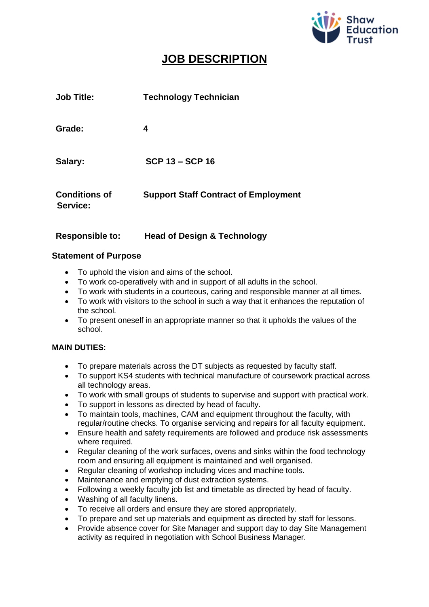

# **JOB DESCRIPTION**

| <b>Job Title:</b>                | <b>Technology Technician</b>                |
|----------------------------------|---------------------------------------------|
| Grade:                           | 4                                           |
| Salary:                          | <b>SCP 13 - SCP 16</b>                      |
| <b>Conditions of</b><br>Service: | <b>Support Staff Contract of Employment</b> |

## **Responsible to: Head of Design & Technology**

### **Statement of Purpose**

- To uphold the vision and aims of the school.
- To work co-operatively with and in support of all adults in the school.
- To work with students in a courteous, caring and responsible manner at all times.
- To work with visitors to the school in such a way that it enhances the reputation of the school.
- To present oneself in an appropriate manner so that it upholds the values of the school.

#### **MAIN DUTIES:**

- To prepare materials across the DT subjects as requested by faculty staff.
- To support KS4 students with technical manufacture of coursework practical across all technology areas.
- To work with small groups of students to supervise and support with practical work.
- To support in lessons as directed by head of faculty.
- To maintain tools, machines, CAM and equipment throughout the faculty, with regular/routine checks. To organise servicing and repairs for all faculty equipment.
- Ensure health and safety requirements are followed and produce risk assessments where required.
- Regular cleaning of the work surfaces, ovens and sinks within the food technology room and ensuring all equipment is maintained and well organised.
- Regular cleaning of workshop including vices and machine tools.
- Maintenance and emptying of dust extraction systems.
- Following a weekly faculty job list and timetable as directed by head of faculty.
- Washing of all faculty linens.
- To receive all orders and ensure they are stored appropriately.
- To prepare and set up materials and equipment as directed by staff for lessons.
- Provide absence cover for Site Manager and support day to day Site Management activity as required in negotiation with School Business Manager.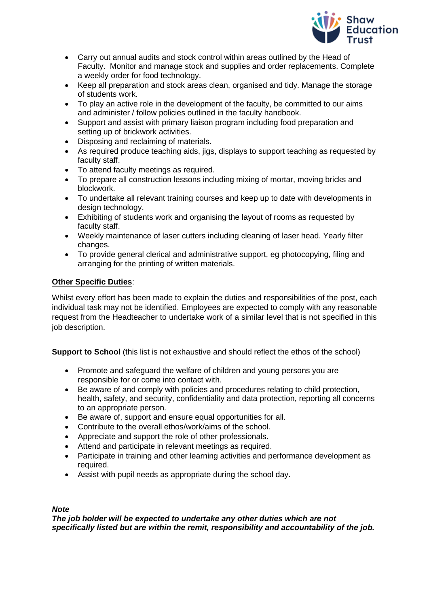

- Carry out annual audits and stock control within areas outlined by the Head of Faculty. Monitor and manage stock and supplies and order replacements. Complete a weekly order for food technology.
- Keep all preparation and stock areas clean, organised and tidy. Manage the storage of students work.
- To play an active role in the development of the faculty, be committed to our aims and administer / follow policies outlined in the faculty handbook.
- Support and assist with primary liaison program including food preparation and setting up of brickwork activities.
- Disposing and reclaiming of materials.
- As required produce teaching aids, jigs, displays to support teaching as requested by faculty staff.
- To attend faculty meetings as required.
- To prepare all construction lessons including mixing of mortar, moving bricks and blockwork.
- To undertake all relevant training courses and keep up to date with developments in design technology.
- Exhibiting of students work and organising the layout of rooms as requested by faculty staff.
- Weekly maintenance of laser cutters including cleaning of laser head. Yearly filter changes.
- To provide general clerical and administrative support, eg photocopying, filing and arranging for the printing of written materials.

#### **Other Specific Duties**:

Whilst every effort has been made to explain the duties and responsibilities of the post, each individual task may not be identified. Employees are expected to comply with any reasonable request from the Headteacher to undertake work of a similar level that is not specified in this iob description.

**Support to School** (this list is not exhaustive and should reflect the ethos of the school)

- Promote and safeguard the welfare of children and young persons you are responsible for or come into contact with.
- Be aware of and comply with policies and procedures relating to child protection, health, safety, and security, confidentiality and data protection, reporting all concerns to an appropriate person.
- Be aware of, support and ensure equal opportunities for all.
- Contribute to the overall ethos/work/aims of the school.
- Appreciate and support the role of other professionals.
- Attend and participate in relevant meetings as required.
- Participate in training and other learning activities and performance development as required.
- Assist with pupil needs as appropriate during the school day.

#### *Note*

*The job holder will be expected to undertake any other duties which are not specifically listed but are within the remit, responsibility and accountability of the job.*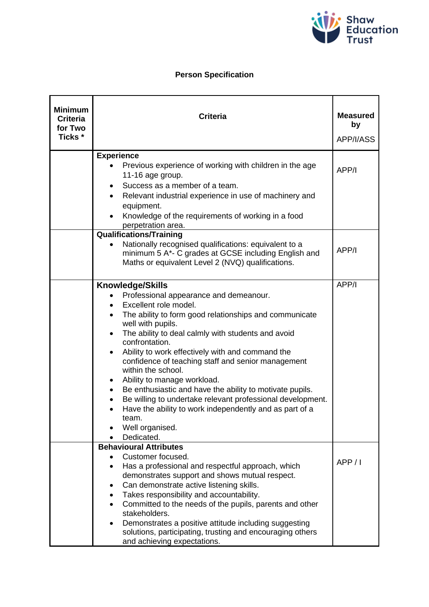

# **Person Specification**

| <b>Minimum</b><br><b>Criteria</b><br>for Two<br>Ticks <sup>*</sup> | <b>Criteria</b>                                                                                                                                                                                                                                                                                                                                                                                                                                                                                                                                                                                                                                                                        | <b>Measured</b><br>by<br>APP/I/ASS |
|--------------------------------------------------------------------|----------------------------------------------------------------------------------------------------------------------------------------------------------------------------------------------------------------------------------------------------------------------------------------------------------------------------------------------------------------------------------------------------------------------------------------------------------------------------------------------------------------------------------------------------------------------------------------------------------------------------------------------------------------------------------------|------------------------------------|
|                                                                    | <b>Experience</b>                                                                                                                                                                                                                                                                                                                                                                                                                                                                                                                                                                                                                                                                      |                                    |
|                                                                    | Previous experience of working with children in the age<br>11-16 age group.<br>Success as a member of a team.<br>$\bullet$                                                                                                                                                                                                                                                                                                                                                                                                                                                                                                                                                             | APP/I                              |
|                                                                    | Relevant industrial experience in use of machinery and<br>$\bullet$<br>equipment.                                                                                                                                                                                                                                                                                                                                                                                                                                                                                                                                                                                                      |                                    |
|                                                                    | Knowledge of the requirements of working in a food<br>perpetration area.                                                                                                                                                                                                                                                                                                                                                                                                                                                                                                                                                                                                               |                                    |
|                                                                    | <b>Qualifications/Training</b><br>Nationally recognised qualifications: equivalent to a<br>$\bullet$<br>minimum 5 A*- C grades at GCSE including English and<br>Maths or equivalent Level 2 (NVQ) qualifications.                                                                                                                                                                                                                                                                                                                                                                                                                                                                      | APP/I                              |
|                                                                    |                                                                                                                                                                                                                                                                                                                                                                                                                                                                                                                                                                                                                                                                                        |                                    |
|                                                                    | <b>Knowledge/Skills</b><br>Professional appearance and demeanour.<br>Excellent role model.<br>The ability to form good relationships and communicate<br>well with pupils.<br>The ability to deal calmly with students and avoid<br>$\bullet$<br>confrontation.<br>Ability to work effectively with and command the<br>$\bullet$<br>confidence of teaching staff and senior management<br>within the school.<br>Ability to manage workload.<br>Be enthusiastic and have the ability to motivate pupils.<br>Be willing to undertake relevant professional development.<br>Have the ability to work independently and as part of a<br>$\bullet$<br>team.<br>Well organised.<br>Dedicated. | APP/I                              |
|                                                                    | <b>Behavioural Attributes</b><br>Customer focused.<br>Has a professional and respectful approach, which<br>demonstrates support and shows mutual respect.<br>Can demonstrate active listening skills.<br>Takes responsibility and accountability.<br>٠<br>Committed to the needs of the pupils, parents and other<br>stakeholders.<br>Demonstrates a positive attitude including suggesting<br>solutions, participating, trusting and encouraging others<br>and achieving expectations.                                                                                                                                                                                                | APP/1                              |